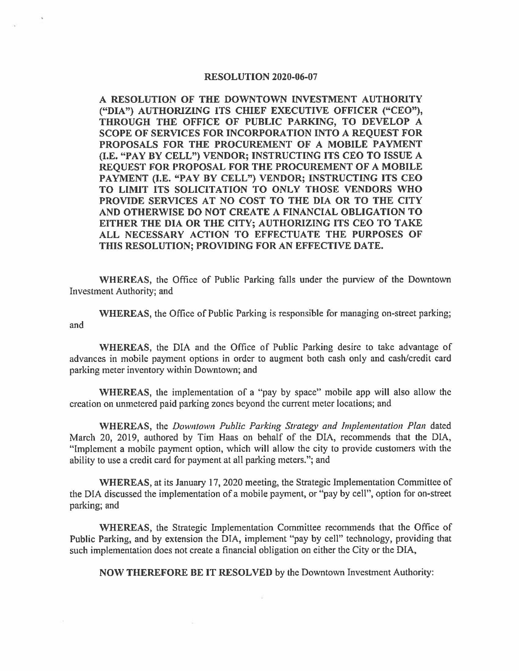## **RESOLUTION 2020-06-07**

**A RESOLUTION OF THE DOWNTOWN INVESTMENT AUTHORITY ("DIA") AUTHORIZING ITS CHIEF EXECUTIVE OFFICER {'<sup>4</sup> CEO"), THROUGH THE OFFICE OF PUBLIC PARKING, TO DEVELOP A SCOPE OF SERVICES FOR INCORPORATION INTO A REQUEST FOR PROPOSALS FOR THE PROCUREMENT OF A MOBILE PAYMENT (I.E. "PAY BY CELL") VENDOR; INSTRUCTING ITS CEO TO ISSUE A REQUEST FOR PROPOSAL FOR THE PROCUREMENT OF A MOBILE PAYMENT (I.E. "PAY BY CELL") VENDOR; INSTRUCTING ITS CEO TO LIMIT ITS SOLICITATION TO ONLY THOSE VENDORS WHO PROVIDE SERVICES AT NO COST TO THE DIA OR TO THE CITY AND OTHERWISE DO NOT CREATE A FINANCIAL OBLIGATION TO EITHER THE DIA OR THE CITY; AUTHORIZING ITS CEO TO TAKE ALL NECESSARY ACTION TO EFFECTUATE THE PURPOSES OF THIS RESOLUTION; PROVIDING FOR AN EFFECTIVE DATE.** 

**WHEREAS,** the Office of Public Parking falls under the purview of the Downtown Investment Authority; and

**WHEREAS,** the Office of Public Parking is responsible for managing on-street parking; and

**WHEREAS,** the DIA and the Office of Public Parking desire to take advantage of advances in mobile payment options in order to augment both cash only and cash/credit card parking meter inventory within Downtown; and

**WHEREAS,** the implementation of a "pay by space" mobile app will also allow the creation on unmetered paid parking zones beyond the current meter locations; and

**WHEREAS,** the *Downtown Public Parking Strategy and Implementation Plan* dated March 20, 2019, authored by Tim Haas on behalf of the DIA, recommends that the DIA, "Implement a mobile payment option, which will allow the city to provide customers with the ability to use a credit card for payment at all parking meters."; and

**WHEREAS,** at its January 17, 2020 meeting, the Strategic Implementation Committee of the DIA discussed the implementation of a mobile payment, or "pay by cell", option for on-street parking; and

**WHEREAS,** the Strategic Implementation Committee recommends that the Office of Public Parking, and by extension the DIA, implement "pay by cell" technology, providing that such implementation does not create a financial obligation on either the City or the DIA,

**NOW THEREFORE BE IT RESOLVED** by the Downtown Investment Authority: